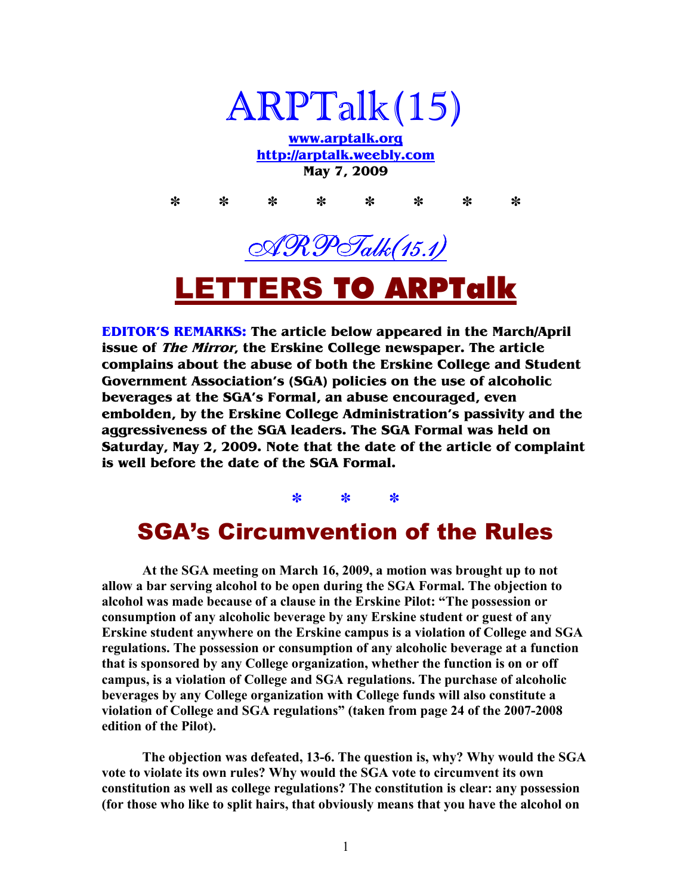

**www.arptalk.org http://arptalk.weebly.com May 7, 2009** 

**\* \* \* \* \* \* \* \***  AR PTalk (15.1) LETTERS TO ARPTalk

**EDITOR'S REMARKS: The article below appeared in the March/April issue of The Mirror, the Erskine College newspaper. The article complains about the abuse of both the Erskine College and Student Government Association's (SGA) policies on the use of alcoholic beverages at the SGA's Formal, an abuse encouraged, even embolden, by the Erskine College Administration's passivity and the aggressiveness of the SGA leaders. The SGA Formal was held on Saturday, May 2, 2009. Note that the date of the article of complaint is well before the date of the SGA Formal.** 

**\* \* \*** 

## SGA's Circumvention of the Rules

**At the SGA meeting on March 16, 2009, a motion was brought up to not allow a bar serving alcohol to be open during the SGA Formal. The objection to alcohol was made because of a clause in the Erskine Pilot: "The possession or consumption of any alcoholic beverage by any Erskine student or guest of any Erskine student anywhere on the Erskine campus is a violation of College and SGA regulations. The possession or consumption of any alcoholic beverage at a function that is sponsored by any College organization, whether the function is on or off campus, is a violation of College and SGA regulations. The purchase of alcoholic beverages by any College organization with College funds will also constitute a violation of College and SGA regulations" (taken from page 24 of the 2007-2008 edition of the Pilot).** 

 **The objection was defeated, 13-6. The question is, why? Why would the SGA vote to violate its own rules? Why would the SGA vote to circumvent its own constitution as well as college regulations? The constitution is clear: any possession (for those who like to split hairs, that obviously means that you have the alcohol on**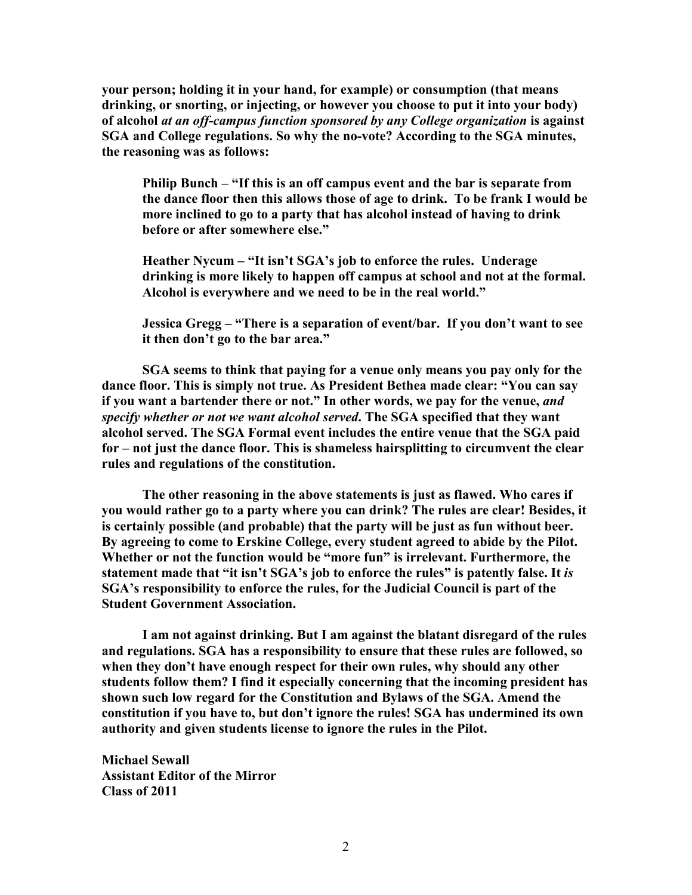**your person; holding it in your hand, for example) or consumption (that means drinking, or snorting, or injecting, or however you choose to put it into your body) of alcohol** *at an off-campus function sponsored by any College organization* **is against SGA and College regulations. So why the no-vote? According to the SGA minutes, the reasoning was as follows:** 

**Philip Bunch – "If this is an off campus event and the bar is separate from the dance floor then this allows those of age to drink. To be frank I would be more inclined to go to a party that has alcohol instead of having to drink before or after somewhere else."** 

Heather Nycum – "It isn't SGA's job to enforce the rules. Underage **drinking is more likely to happen off campus at school and not at the formal. Alcohol is everywhere and we need to be in the real world."** 

**Jessica Gregg – "There is a separation of event/bar. If you don't want to see it then don't go to the bar area."** 

**SGA seems to think that paying for a venue only means you pay only for the dance floor. This is simply not true. As President Bethea made clear: "You can say if you want a bartender there or not." In other words, we pay for the venue,** *and specify whether or not we want alcohol served***. The SGA specified that they want alcohol served. The SGA Formal event includes the entire venue that the SGA paid for – not just the dance floor. This is shameless hairsplitting to circumvent the clear rules and regulations of the constitution.** 

**The other reasoning in the above statements is just as flawed. Who cares if you would rather go to a party where you can drink? The rules are clear! Besides, it is certainly possible (and probable) that the party will be just as fun without beer. By agreeing to come to Erskine College, every student agreed to abide by the Pilot. Whether or not the function would be "more fun" is irrelevant. Furthermore, the statement made that "it isn't SGA's job to enforce the rules" is patently false. It** *is* **SGA's responsibility to enforce the rules, for the Judicial Council is part of the Student Government Association.** 

**I am not against drinking. But I am against the blatant disregard of the rules and regulations. SGA has a responsibility to ensure that these rules are followed, so when they don't have enough respect for their own rules, why should any other students follow them? I find it especially concerning that the incoming president has shown such low regard for the Constitution and Bylaws of the SGA. Amend the constitution if you have to, but don't ignore the rules! SGA has undermined its own authority and given students license to ignore the rules in the Pilot.** 

**Michael Sewall Assistant Editor of the Mirror Class of 2011**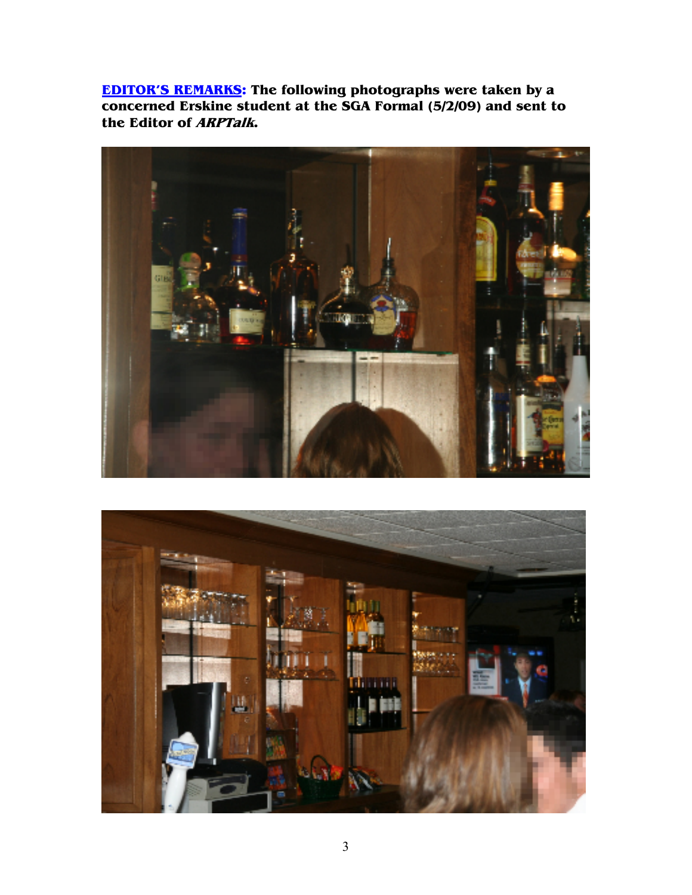**EDITOR'S REMARKS: The following photographs were taken by a concerned Erskine student at the SGA Formal (5/2/09) and sent to the Editor of ARPTalk.** 



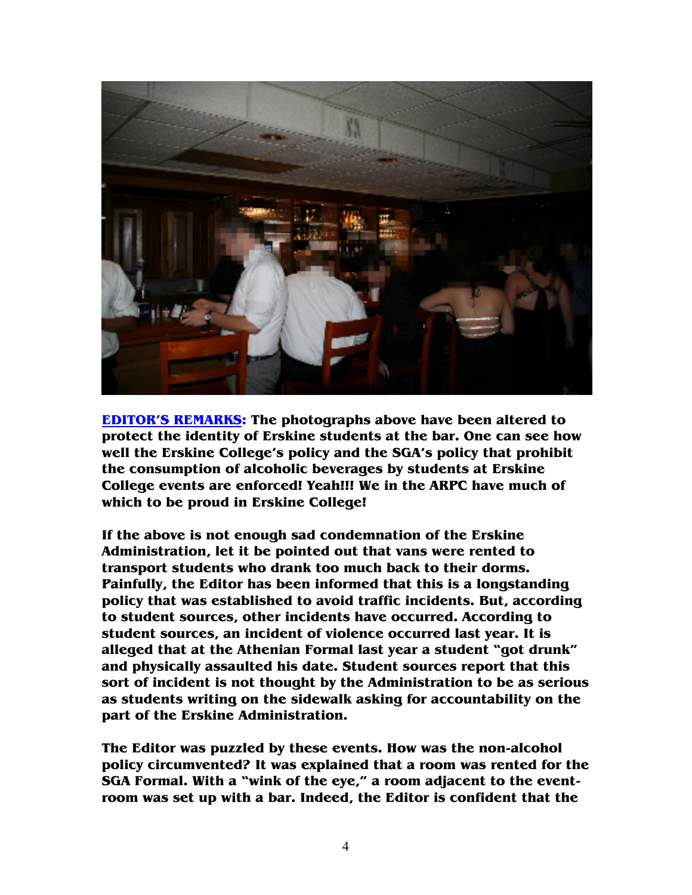

**EDITOR'S REMARKS: The photographs above have been altered to protect the identity of Erskine students at the bar. One can see how well the Erskine College's policy and the SGA's policy that prohibit the consumption of alcoholic beverages by students at Erskine College events are enforced! Yeah!!! We in the ARPC have much of which to be proud in Erskine College!** 

**If the above is not enough sad condemnation of the Erskine Administration, let it be pointed out that vans were rented to transport students who drank too much back to their dorms. Painfully, the Editor has been informed that this is a longstanding policy that was established to avoid traffic incidents. But, according to student sources, other incidents have occurred. According to student sources, an incident of violence occurred last year. It is alleged that at the Athenian Formal last year a student "got drunk" and physically assaulted his date. Student sources report that this sort of incident is not thought by the Administration to be as serious as students writing on the sidewalk asking for accountability on the part of the Erskine Administration.** 

**The Editor was puzzled by these events. How was the non-alcohol policy circumvented? It was explained that a room was rented for the SGA Formal. With a "wink of the eye," a room adjacent to the eventroom was set up with a bar. Indeed, the Editor is confident that the**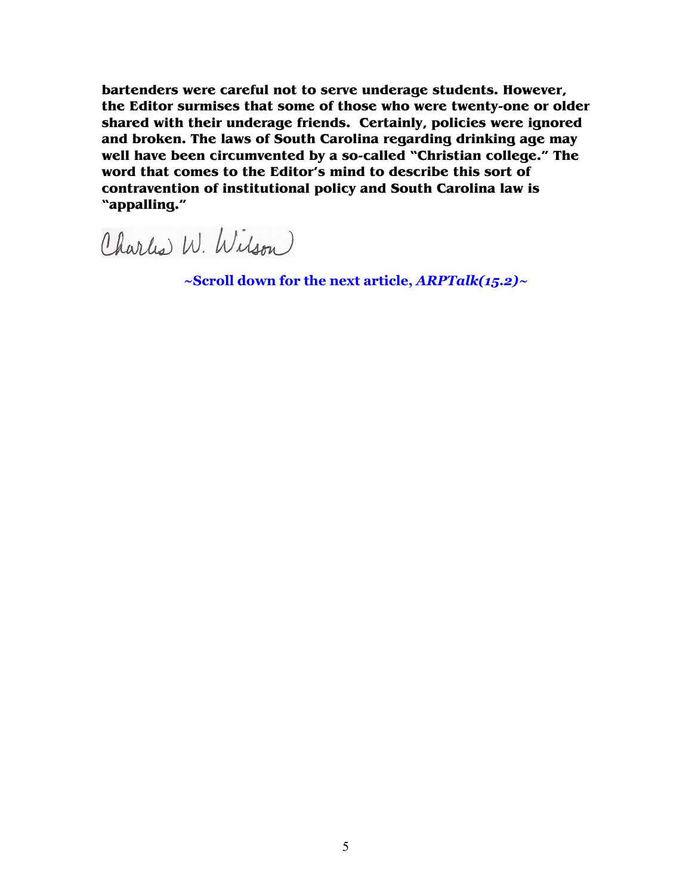**bartenders were careful not to serve underage students. However, the Editor surmises that some of those who were twenty-one or older shared with their underage friends. Certainly, policies were ignored and broken. The laws of South Carolina regarding drinking age may well have been circumvented by a so-called "Christian college." The word that comes to the Editor's mind to describe this sort of contravention of institutional policy and South Carolina law is "appalling."** 

Charles W. Wilson

**~Scroll down for the next article,** *ARPTalk(15.2)~*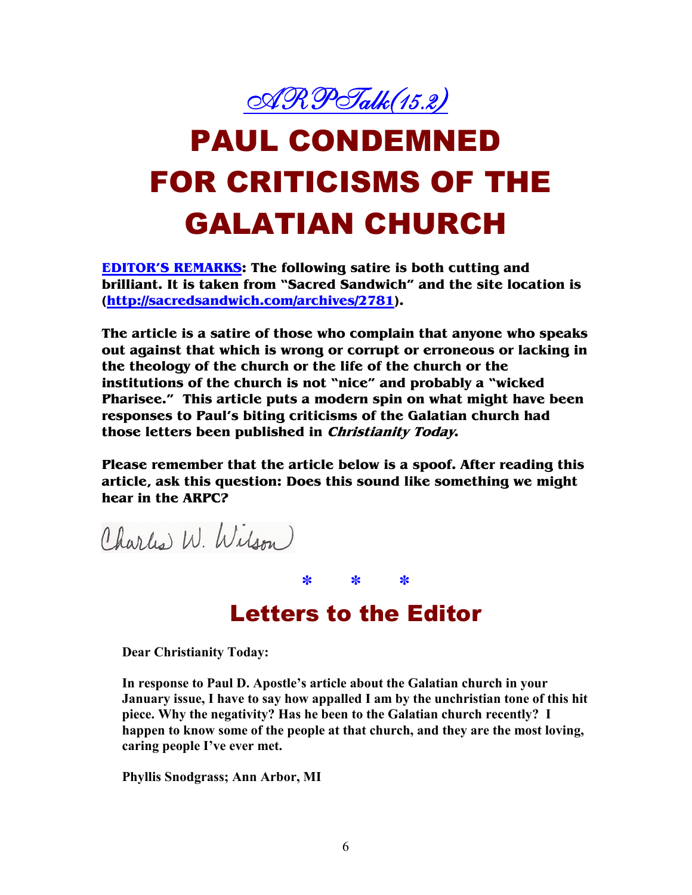

## PAUL CONDEMNED FOR CRITICISMS OF THE GALATIAN CHURCH

**EDITOR'S REMARKS: The following satire is both cutting and brilliant. It is taken from "Sacred Sandwich" and the site location is (http://sacredsandwich.com/archives/2781).** 

**The article is a satire of those who complain that anyone who speaks out against that which is wrong or corrupt or erroneous or lacking in the theology of the church or the life of the church or the institutions of the church is not "nice" and probably a "wicked Pharisee." This article puts a modern spin on what might have been responses to Paul's biting criticisms of the Galatian church had those letters been published in Christianity Today.** 

**Please remember that the article below is a spoof. After reading this article, ask this question: Does this sound like something we might hear in the ARPC?** 

Charles W. Wilson)

Letters to the Editor

**\* \* \***

**Dear Christianity Today:** 

**In response to Paul D. Apostle's article about the Galatian church in your January issue, I have to say how appalled I am by the unchristian tone of this hit piece. Why the negativity? Has he been to the Galatian church recently? I happen to know some of the people at that church, and they are the most loving, caring people I've ever met.** 

**Phyllis Snodgrass; Ann Arbor, MI**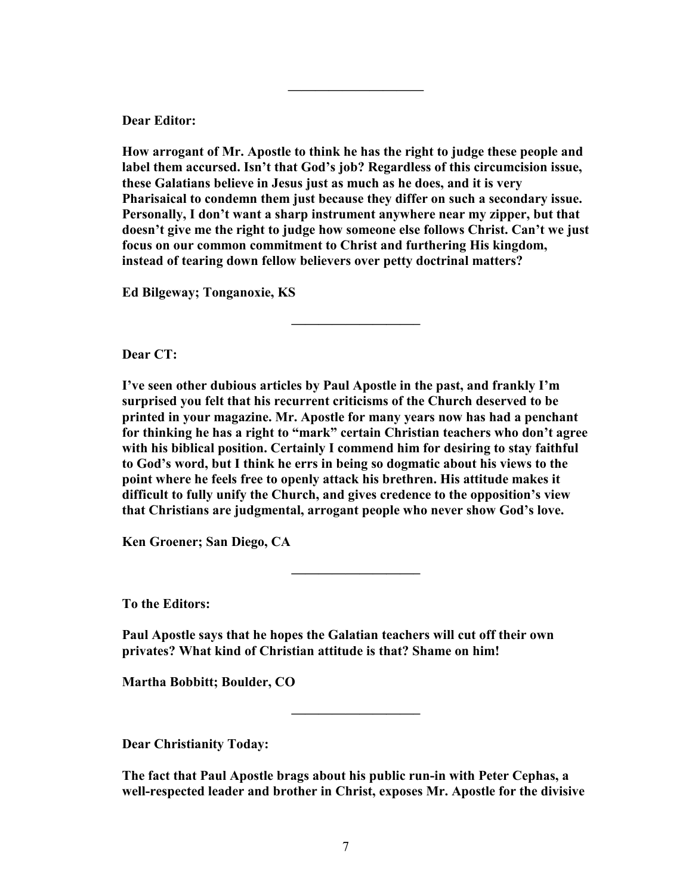**Dear Editor:** 

**How arrogant of Mr. Apostle to think he has the right to judge these people and label them accursed. Isn't that God's job? Regardless of this circumcision issue, these Galatians believe in Jesus just as much as he does, and it is very Pharisaical to condemn them just because they differ on such a secondary issue. Personally, I don't want a sharp instrument anywhere near my zipper, but that doesn't give me the right to judge how someone else follows Christ. Can't we just focus on our common commitment to Christ and furthering His kingdom, instead of tearing down fellow believers over petty doctrinal matters?** 

**—————————–** 

**——————————**

**Ed Bilgeway; Tonganoxie, KS** 

**Dear CT:** 

**I've seen other dubious articles by Paul Apostle in the past, and frankly I'm surprised you felt that his recurrent criticisms of the Church deserved to be printed in your magazine. Mr. Apostle for many years now has had a penchant for thinking he has a right to "mark" certain Christian teachers who don't agree with his biblical position. Certainly I commend him for desiring to stay faithful to God's word, but I think he errs in being so dogmatic about his views to the point where he feels free to openly attack his brethren. His attitude makes it difficult to fully unify the Church, and gives credence to the opposition's view that Christians are judgmental, arrogant people who never show God's love.** 

**—————————–** 

**Ken Groener; San Diego, CA** 

**To the Editors:** 

**Paul Apostle says that he hopes the Galatian teachers will cut off their own privates? What kind of Christian attitude is that? Shame on him!** 

**Martha Bobbitt; Boulder, CO** 

**Dear Christianity Today:** 

**The fact that Paul Apostle brags about his public run-in with Peter Cephas, a well-respected leader and brother in Christ, exposes Mr. Apostle for the divisive** 

**—————————–**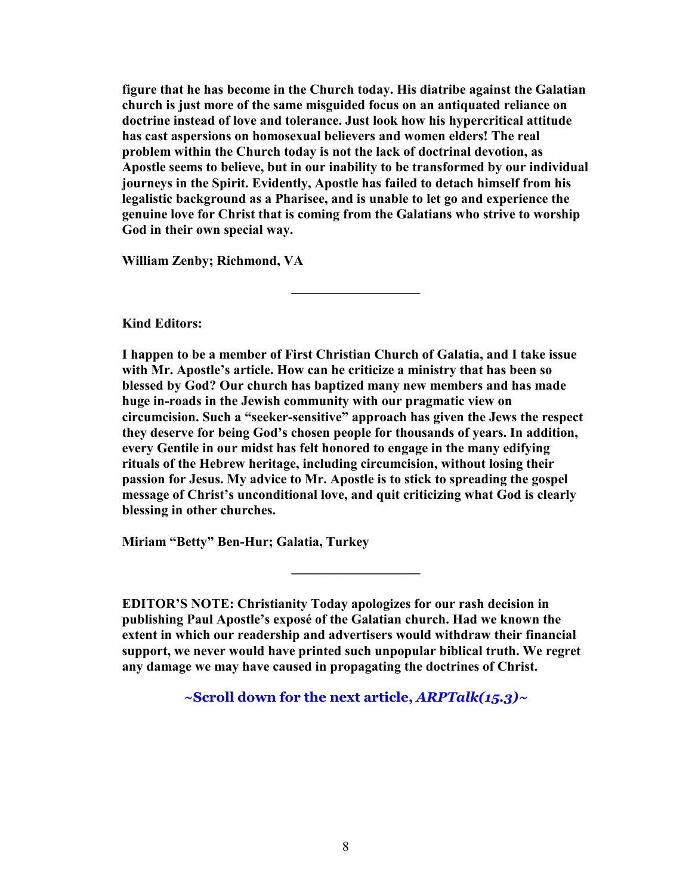**figure that he has become in the Church today. His diatribe against the Galatian church is just more of the same misguided focus on an antiquated reliance on doctrine instead of love and tolerance. Just look how his hypercritical attitude has cast aspersions on homosexual believers and women elders! The real problem within the Church today is not the lack of doctrinal devotion, as Apostle seems to believe, but in our inability to be transformed by our individual journeys in the Spirit. Evidently, Apostle has failed to detach himself from his legalistic background as a Pharisee, and is unable to let go and experience the genuine love for Christ that is coming from the Galatians who strive to worship God in their own special way.** 

**—————————–** 

**William Zenby; Richmond, VA** 

**Kind Editors:** 

**I happen to be a member of First Christian Church of Galatia, and I take issue with Mr. Apostle's article. How can he criticize a ministry that has been so blessed by God? Our church has baptized many new members and has made huge in-roads in the Jewish community with our pragmatic view on circumcision. Such a "seeker-sensitive" approach has given the Jews the respect they deserve for being God's chosen people for thousands of years. In addition, every Gentile in our midst has felt honored to engage in the many edifying rituals of the Hebrew heritage, including circumcision, without losing their passion for Jesus. My advice to Mr. Apostle is to stick to spreading the gospel message of Christ's unconditional love, and quit criticizing what God is clearly blessing in other churches.** 

**Miriam "Betty" Ben-Hur; Galatia, Turkey** 

**EDITOR'S NOTE: Christianity Today apologizes for our rash decision in publishing Paul Apostle's exposé of the Galatian church. Had we known the extent in which our readership and advertisers would withdraw their financial support, we never would have printed such unpopular biblical truth. We regret any damage we may have caused in propagating the doctrines of Christ.** 

**—————————–** 

**~Scroll down for the next article,** *ARPTalk(15.3)~*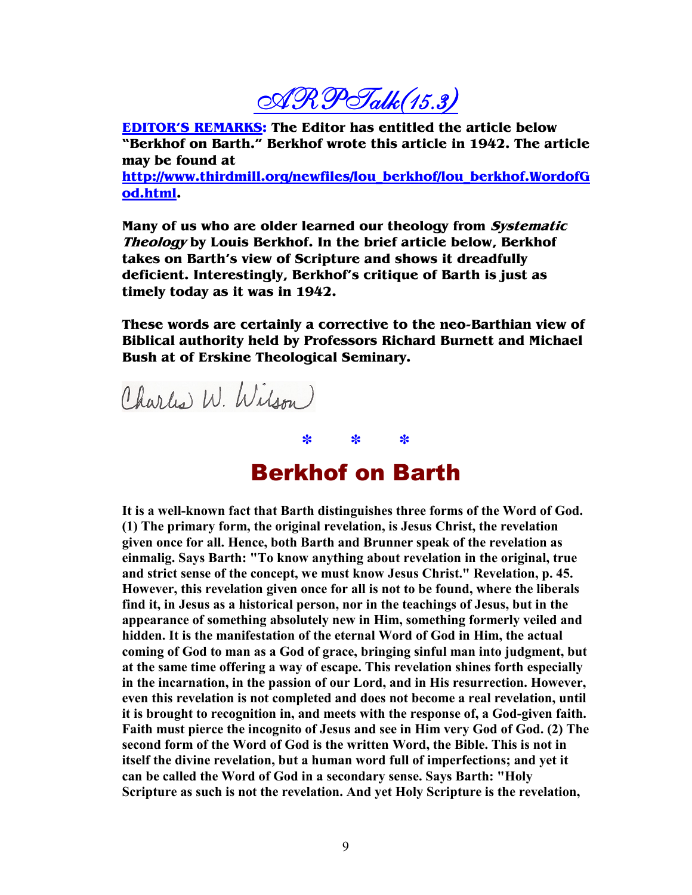$\mathcal{A}\mathcal{R}\mathcal{P}$ Talk $(15.3)$ 

**EDITOR'S REMARKS: The Editor has entitled the article below "Berkhof on Barth." Berkhof wrote this article in 1942. The article may be found at** 

**http://www.thirdmill.org/newfiles/lou\_berkhof/lou\_berkhof.WordofG od.html.** 

**Many of us who are older learned our theology from Systematic Theology by Louis Berkhof. In the brief article below, Berkhof takes on Barth's view of Scripture and shows it dreadfully deficient. Interestingly, Berkhof's critique of Barth is just as timely today as it was in 1942.** 

**These words are certainly a corrective to the neo-Barthian view of Biblical authority held by Professors Richard Burnett and Michael Bush at of Erskine Theological Seminary.** 



## Berkhof on Barth

**\* \* \***

**It is a well-known fact that Barth distinguishes three forms of the Word of God. (1) The primary form, the original revelation, is Jesus Christ, the revelation given once for all. Hence, both Barth and Brunner speak of the revelation as einmalig. Says Barth: "To know anything about revelation in the original, true and strict sense of the concept, we must know Jesus Christ." Revelation, p. 45. However, this revelation given once for all is not to be found, where the liberals find it, in Jesus as a historical person, nor in the teachings of Jesus, but in the appearance of something absolutely new in Him, something formerly veiled and hidden. It is the manifestation of the eternal Word of God in Him, the actual coming of God to man as a God of grace, bringing sinful man into judgment, but at the same time offering a way of escape. This revelation shines forth especially in the incarnation, in the passion of our Lord, and in His resurrection. However, even this revelation is not completed and does not become a real revelation, until it is brought to recognition in, and meets with the response of, a God-given faith. Faith must pierce the incognito of Jesus and see in Him very God of God. (2) The second form of the Word of God is the written Word, the Bible. This is not in itself the divine revelation, but a human word full of imperfections; and yet it can be called the Word of God in a secondary sense. Says Barth: "Holy Scripture as such is not the revelation. And yet Holy Scripture is the revelation,**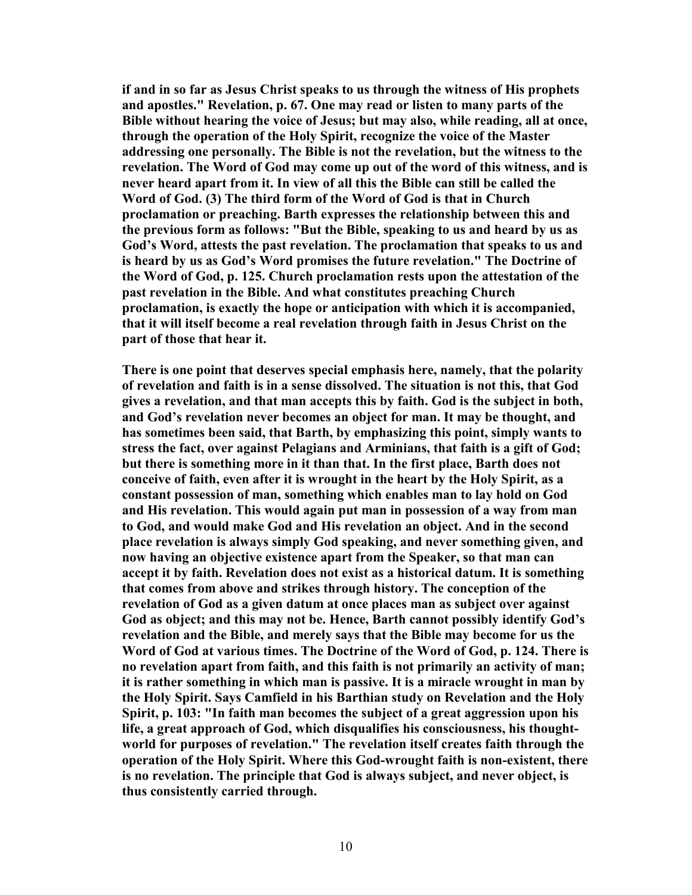**if and in so far as Jesus Christ speaks to us through the witness of His prophets and apostles." Revelation, p. 67. One may read or listen to many parts of the Bible without hearing the voice of Jesus; but may also, while reading, all at once, through the operation of the Holy Spirit, recognize the voice of the Master addressing one personally. The Bible is not the revelation, but the witness to the revelation. The Word of God may come up out of the word of this witness, and is never heard apart from it. In view of all this the Bible can still be called the Word of God. (3) The third form of the Word of God is that in Church proclamation or preaching. Barth expresses the relationship between this and the previous form as follows: "But the Bible, speaking to us and heard by us as God's Word, attests the past revelation. The proclamation that speaks to us and is heard by us as God's Word promises the future revelation." The Doctrine of the Word of God, p. 125. Church proclamation rests upon the attestation of the past revelation in the Bible. And what constitutes preaching Church proclamation, is exactly the hope or anticipation with which it is accompanied, that it will itself become a real revelation through faith in Jesus Christ on the part of those that hear it.** 

**There is one point that deserves special emphasis here, namely, that the polarity of revelation and faith is in a sense dissolved. The situation is not this, that God gives a revelation, and that man accepts this by faith. God is the subject in both, and God's revelation never becomes an object for man. It may be thought, and has sometimes been said, that Barth, by emphasizing this point, simply wants to stress the fact, over against Pelagians and Arminians, that faith is a gift of God; but there is something more in it than that. In the first place, Barth does not conceive of faith, even after it is wrought in the heart by the Holy Spirit, as a constant possession of man, something which enables man to lay hold on God and His revelation. This would again put man in possession of a way from man to God, and would make God and His revelation an object. And in the second place revelation is always simply God speaking, and never something given, and now having an objective existence apart from the Speaker, so that man can accept it by faith. Revelation does not exist as a historical datum. It is something that comes from above and strikes through history. The conception of the revelation of God as a given datum at once places man as subject over against God as object; and this may not be. Hence, Barth cannot possibly identify God's revelation and the Bible, and merely says that the Bible may become for us the Word of God at various times. The Doctrine of the Word of God, p. 124. There is no revelation apart from faith, and this faith is not primarily an activity of man; it is rather something in which man is passive. It is a miracle wrought in man by the Holy Spirit. Says Camfield in his Barthian study on Revelation and the Holy Spirit, p. 103: "In faith man becomes the subject of a great aggression upon his life, a great approach of God, which disqualifies his consciousness, his thoughtworld for purposes of revelation." The revelation itself creates faith through the operation of the Holy Spirit. Where this God-wrought faith is non-existent, there is no revelation. The principle that God is always subject, and never object, is thus consistently carried through.**